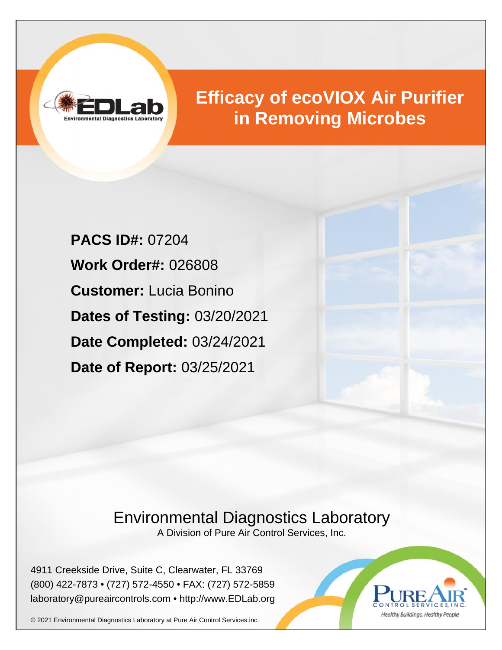

# **Efficacy of ecoVIOX Air Purifier in Removing Microbes**

**PACS ID#:** 07204 **Work Order#:** 026808 **Customer:** Lucia Bonino **Dates of Testing:** 03/20/2021 **Date Completed:** 03/24/2021 **Date of Report:** 03/25/2021

## Environmental Diagnostics Laboratory

A Division of Pure Air Control Services, Inc.

4911 Creekside Drive, Suite C, Clearwater, FL 33769 (800) 422-7873 • (727) 572-4550 • FAX: (727) 572-5859 laboratory@pureaircontrols.com • http://www.EDLab.org



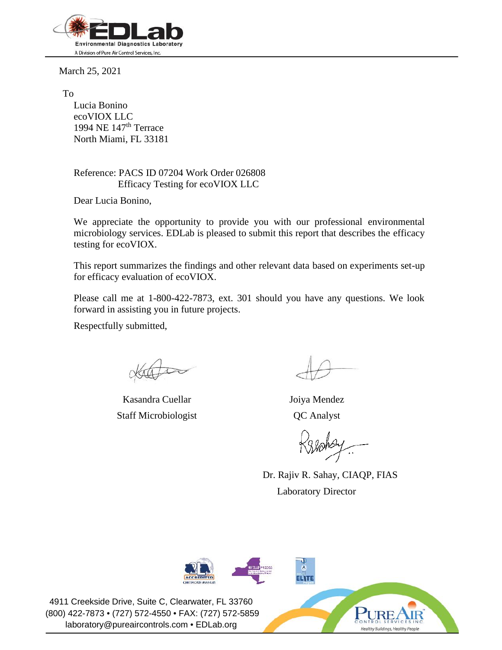

March 25, 2021

To

Lucia Bonino ecoVIOX LLC 1994 NE  $147<sup>th</sup>$  Terrace North Miami, FL 33181

Reference: PACS ID 07204 Work Order 026808 Efficacy Testing for ecoVIOX LLC

Dear Lucia Bonino,

We appreciate the opportunity to provide you with our professional environmental microbiology services. EDLab is pleased to submit this report that describes the efficacy testing for ecoVIOX.

This report summarizes the findings and other relevant data based on experiments set-up for efficacy evaluation of ecoVIOX.

Please call me at 1-800-422-7873, ext. 301 should you have any questions. We look forward in assisting you in future projects.

Respectfully submitted,

Kasandra Cuellar Staff Microbiologist

Joiya Mendez QC Analyst

Dr. Rajiv R. Sahay, CIAQP, FIAS Laboratory Director

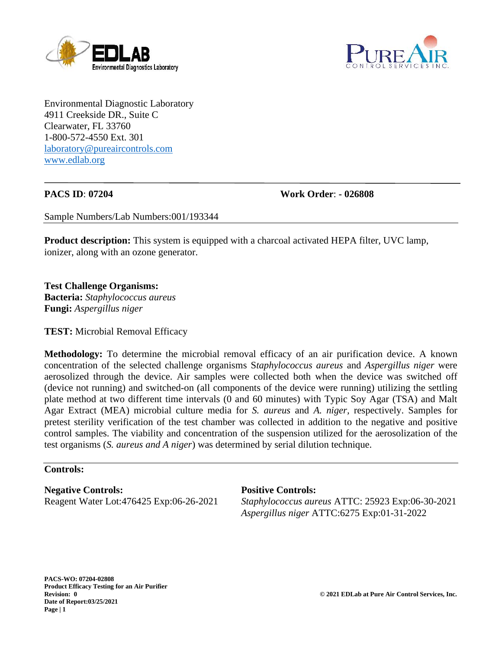



Environmental Diagnostic Laboratory 4911 Creekside DR., Suite C Clearwater, FL 33760 1-800-572-4550 Ext. 301 laboratory@pureaircontrols.com www.edlab.org

**PACS ID**: **07204 Work Order**: **- 026808**

Sample Numbers/Lab Numbers:001/193344

**Product description:** This system is equipped with a charcoal activated HEPA filter, UVC lamp, ionizer, along with an ozone generator.

**Test Challenge Organisms: Bacteria:** *Staphylococcus aureus* **Fungi:** *Aspergillus niger*

**TEST:** Microbial Removal Efficacy

**Methodology:** To determine the microbial removal efficacy of an air purification device. A known concentration of the selected challenge organisms S*taphylococcus aureus* and *Aspergillus niger* were aerosolized through the device. Air samples were collected both when the device was switched off (device not running) and switched-on (all components of the device were running) utilizing the settling plate method at two different time intervals (0 and 60 minutes) with Typic Soy Agar (TSA) and Malt Agar Extract (MEA) microbial culture media for *S. aureus* and *A. niger,* respectively. Samples for pretest sterility verification of the test chamber was collected in addition to the negative and positive control samples. The viability and concentration of the suspension utilized for the aerosolization of the test organisms (*S. aureus and A niger*) was determined by serial dilution technique.

#### **Controls:**

**Negative Controls:** Reagent Water Lot:476425 Exp:06-26-2021

#### **Positive Controls:**

*Staphylococcus aureus* ATTC: 25923 Exp:06-30-2021 *Aspergillus niger* ATTC:6275 Exp:01-31-2022

**PACS-WO: 07204-02808 Product Efficacy Testing for an Air Purifier Date of Report:03/25/2021 Page | 1**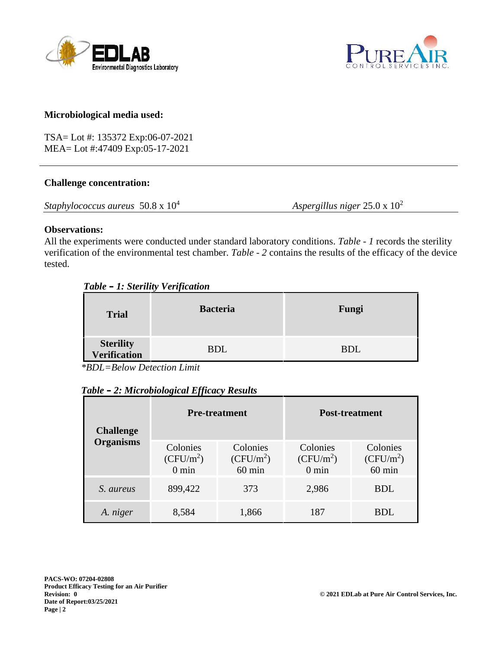



#### **Microbiological media used:**

TSA= Lot #: 135372 Exp:06-07-2021 MEA= Lot #:47409 Exp:05-17-2021

#### **Challenge concentration:**

*Staphylococcus aureus* 50.8 x 10<sup>4</sup> *Aspergillus niger* 25.0 x 10<sup>2</sup>

#### **Observations:**

All the experiments were conducted under standard laboratory conditions. *Table - 1* records the sterility verification of the environmental test chamber. *Table - 2* contains the results of the efficacy of the device tested.

| <b>Trial</b>              | <b>Bacteria</b> | Fungi      |
|---------------------------|-----------------|------------|
| Sterility<br>Verification | <b>BDL</b>      | <b>BDL</b> |

*\*BDL=Below Detection Limit*

|  | Table – 2: Microbiological Efficacy Results |  |  |
|--|---------------------------------------------|--|--|
|--|---------------------------------------------|--|--|

| <b>Challenge</b><br><b>Organisms</b> | <b>Pre-treatment</b>                       |                                             | <b>Post-treatment</b>                      |                                     |
|--------------------------------------|--------------------------------------------|---------------------------------------------|--------------------------------------------|-------------------------------------|
|                                      | Colonies<br>$(CFU/m^2)$<br>$0 \text{ min}$ | Colonies<br>$(CFU/m^2)$<br>$60 \text{ min}$ | Colonies<br>$(CFU/m^2)$<br>$0 \text{ min}$ | Colonies<br>$(CFU/m^2)$<br>$60$ min |
| S. aureus                            | 899,422                                    | 373                                         | 2,986                                      | <b>BDL</b>                          |
| A. niger                             | 8,584                                      | 1,866                                       | 187                                        | <b>BDL</b>                          |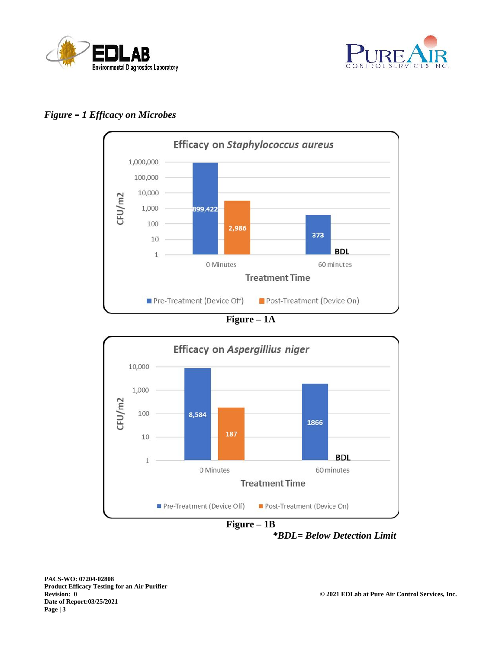



### *Figure – 1 Efficacy on Microbes*



**Figure – 1A**



**Figure – 1B** *\*BDL= Below Detection Limit*

**PACS-WO: 07204-02808 Product Efficacy Testing for an Air Purifier Date of Report:03/25/2021 Page | 3**